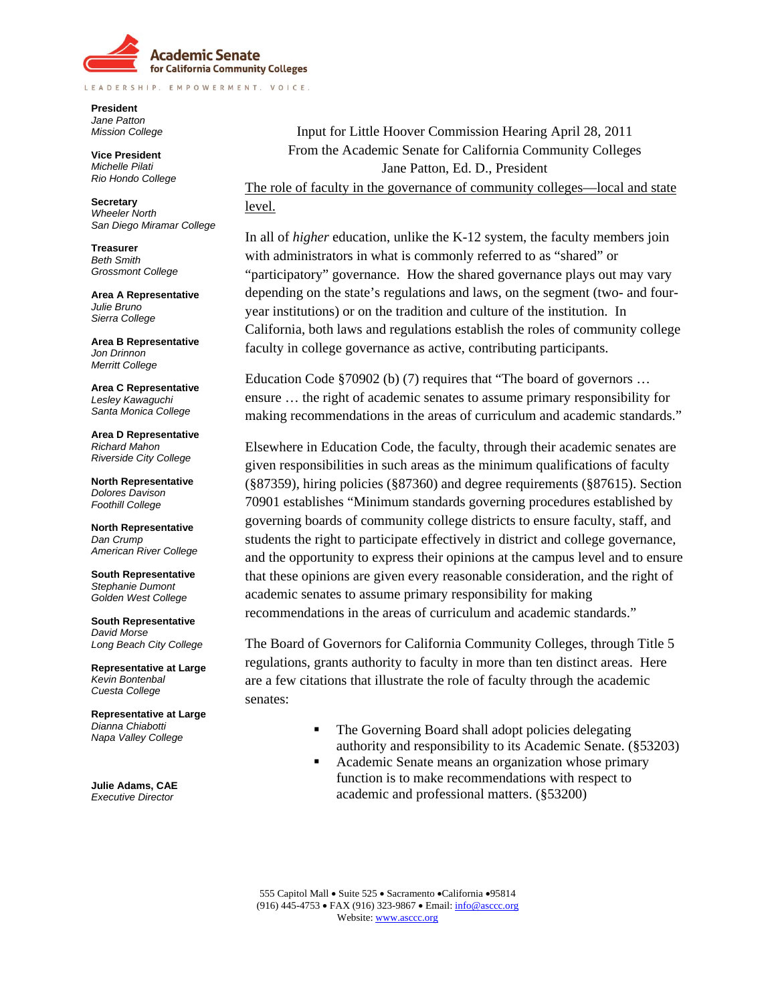

LEADERSHIP. EMPOWERMENT. VOICE.

**President**  *Jane Patton Mission College* 

**Vice President**  *Michelle Pilati Rio Hondo College*

**Secretary**  *Wheeler North San Diego Miramar College*

**Treasurer**  *Beth Smith Grossmont College* 

**Area A Representative**  *Julie Bruno Sierra College*

**Area B Representative**  *Jon Drinnon Merritt College* 

**Area C Representative**  *Lesley Kawaguchi Santa Monica College* 

**Area D Representative**  *Richard Mahon Riverside City College* 

**North Representative**  *Dolores Davison Foothill College* 

**North Representative** *Dan Crump American River College*

**South Representative** *Stephanie Dumont Golden West College* 

**South Representative** *David Morse Long Beach City College* 

**Representative at Large** *Kevin Bontenbal Cuesta College* 

**Representative at Large** *Dianna Chiabotti Napa Valley College* 

**Julie Adams, CAE** *Executive Director*

Input for Little Hoover Commission Hearing April 28, 2011 From the Academic Senate for California Community Colleges Jane Patton, Ed. D., President The role of faculty in the governance of community colleges—local and state

### level.

In all of *higher* education, unlike the K-12 system, the faculty members join with administrators in what is commonly referred to as "shared" or "participatory" governance. How the shared governance plays out may vary depending on the state's regulations and laws, on the segment (two- and fouryear institutions) or on the tradition and culture of the institution. In California, both laws and regulations establish the roles of community college faculty in college governance as active, contributing participants.

Education Code §70902 (b) (7) requires that "The board of governors ... ensure … the right of academic senates to assume primary responsibility for making recommendations in the areas of curriculum and academic standards."

Elsewhere in Education Code, the faculty, through their academic senates are given responsibilities in such areas as the minimum qualifications of faculty (§87359), hiring policies (§87360) and degree requirements (§87615). Section 70901 establishes "Minimum standards governing procedures established by governing boards of community college districts to ensure faculty, staff, and students the right to participate effectively in district and college governance, and the opportunity to express their opinions at the campus level and to ensure that these opinions are given every reasonable consideration, and the right of academic senates to assume primary responsibility for making recommendations in the areas of curriculum and academic standards."

The Board of Governors for California Community Colleges, through Title 5 regulations, grants authority to faculty in more than ten distinct areas. Here are a few citations that illustrate the role of faculty through the academic senates:

- The Governing Board shall adopt policies delegating authority and responsibility to its Academic Senate. (§53203)
- Academic Senate means an organization whose primary function is to make recommendations with respect to academic and professional matters. (§53200)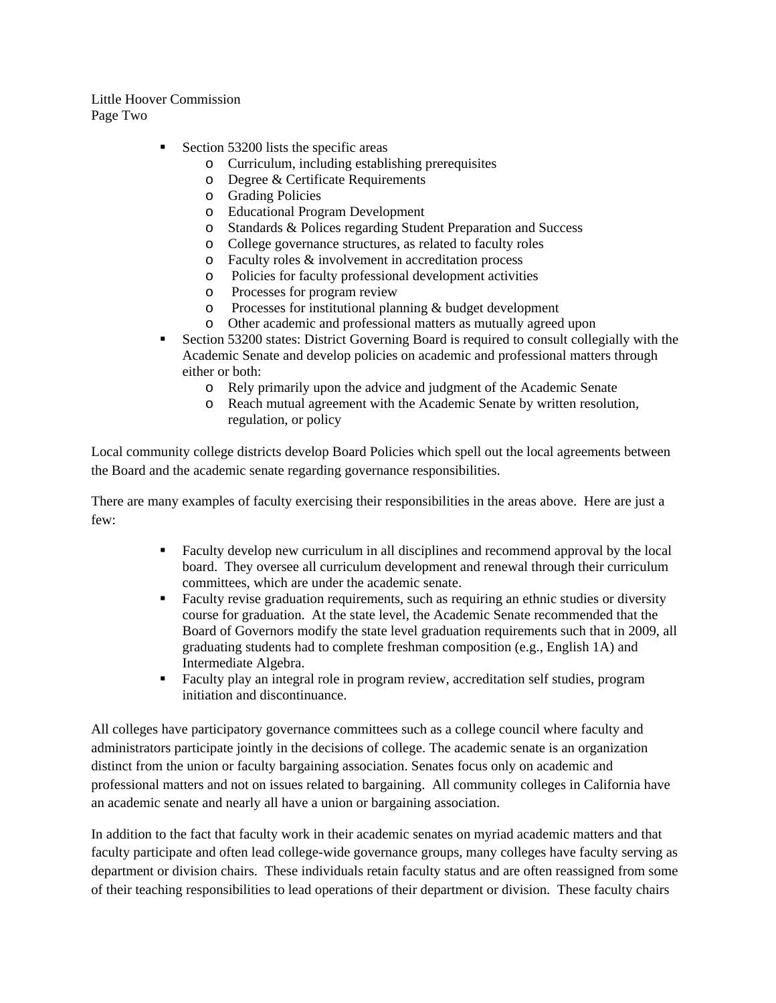Little Hoover Commission Page Two

- Section 53200 lists the specific areas
	- o Curriculum, including establishing prerequisites
	- o Degree & Certificate Requirements
	- o Grading Policies
	- o Educational Program Development
	- o Standards & Polices regarding Student Preparation and Success
	- o College governance structures, as related to faculty roles
	- o Faculty roles & involvement in accreditation process
	- o Policies for faculty professional development activities
	- o Processes for program review
	- o Processes for institutional planning & budget development
	- o Other academic and professional matters as mutually agreed upon
- Section 53200 states: District Governing Board is required to consult collegially with the Academic Senate and develop policies on academic and professional matters through either or both:
	- o Rely primarily upon the advice and judgment of the Academic Senate
	- o Reach mutual agreement with the Academic Senate by written resolution, regulation, or policy

Local community college districts develop Board Policies which spell out the local agreements between the Board and the academic senate regarding governance responsibilities.

There are many examples of faculty exercising their responsibilities in the areas above. Here are just a few:

- Faculty develop new curriculum in all disciplines and recommend approval by the local board. They oversee all curriculum development and renewal through their curriculum committees, which are under the academic senate.
- **Faculty revise graduation requirements, such as requiring an ethnic studies or diversity** course for graduation. At the state level, the Academic Senate recommended that the Board of Governors modify the state level graduation requirements such that in 2009, all graduating students had to complete freshman composition (e.g., English 1A) and Intermediate Algebra.
- Faculty play an integral role in program review, accreditation self studies, program initiation and discontinuance.

All colleges have participatory governance committees such as a college council where faculty and administrators participate jointly in the decisions of college. The academic senate is an organization distinct from the union or faculty bargaining association. Senates focus only on academic and professional matters and not on issues related to bargaining. All community colleges in California have an academic senate and nearly all have a union or bargaining association.

In addition to the fact that faculty work in their academic senates on myriad academic matters and that faculty participate and often lead college-wide governance groups, many colleges have faculty serving as department or division chairs. These individuals retain faculty status and are often reassigned from some of their teaching responsibilities to lead operations of their department or division. These faculty chairs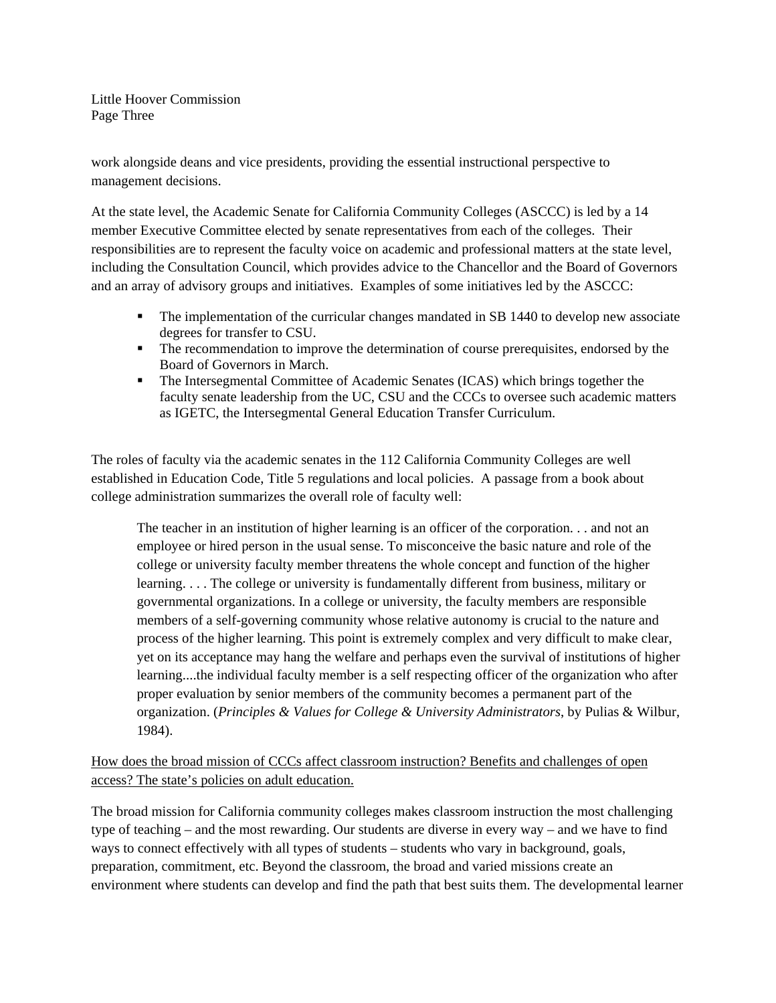Little Hoover Commission Page Three

work alongside deans and vice presidents, providing the essential instructional perspective to management decisions.

At the state level, the Academic Senate for California Community Colleges (ASCCC) is led by a 14 member Executive Committee elected by senate representatives from each of the colleges. Their responsibilities are to represent the faculty voice on academic and professional matters at the state level, including the Consultation Council, which provides advice to the Chancellor and the Board of Governors and an array of advisory groups and initiatives. Examples of some initiatives led by the ASCCC:

- The implementation of the curricular changes mandated in SB 1440 to develop new associate degrees for transfer to CSU.
- The recommendation to improve the determination of course prerequisites, endorsed by the Board of Governors in March.
- The Intersegmental Committee of Academic Senates (ICAS) which brings together the faculty senate leadership from the UC, CSU and the CCCs to oversee such academic matters as IGETC, the Intersegmental General Education Transfer Curriculum.

The roles of faculty via the academic senates in the 112 California Community Colleges are well established in Education Code, Title 5 regulations and local policies. A passage from a book about college administration summarizes the overall role of faculty well:

The teacher in an institution of higher learning is an officer of the corporation. . . and not an employee or hired person in the usual sense. To misconceive the basic nature and role of the college or university faculty member threatens the whole concept and function of the higher learning. . . . The college or university is fundamentally different from business, military or governmental organizations. In a college or university, the faculty members are responsible members of a self-governing community whose relative autonomy is crucial to the nature and process of the higher learning. This point is extremely complex and very difficult to make clear, yet on its acceptance may hang the welfare and perhaps even the survival of institutions of higher learning....the individual faculty member is a self respecting officer of the organization who after proper evaluation by senior members of the community becomes a permanent part of the organization. (*Principles & Values for College & University Administrators*, by Pulias & Wilbur, 1984).

# How does the broad mission of CCCs affect classroom instruction? Benefits and challenges of open access? The state's policies on adult education.

The broad mission for California community colleges makes classroom instruction the most challenging type of teaching – and the most rewarding. Our students are diverse in every way – and we have to find ways to connect effectively with all types of students – students who vary in background, goals, preparation, commitment, etc. Beyond the classroom, the broad and varied missions create an environment where students can develop and find the path that best suits them. The developmental learner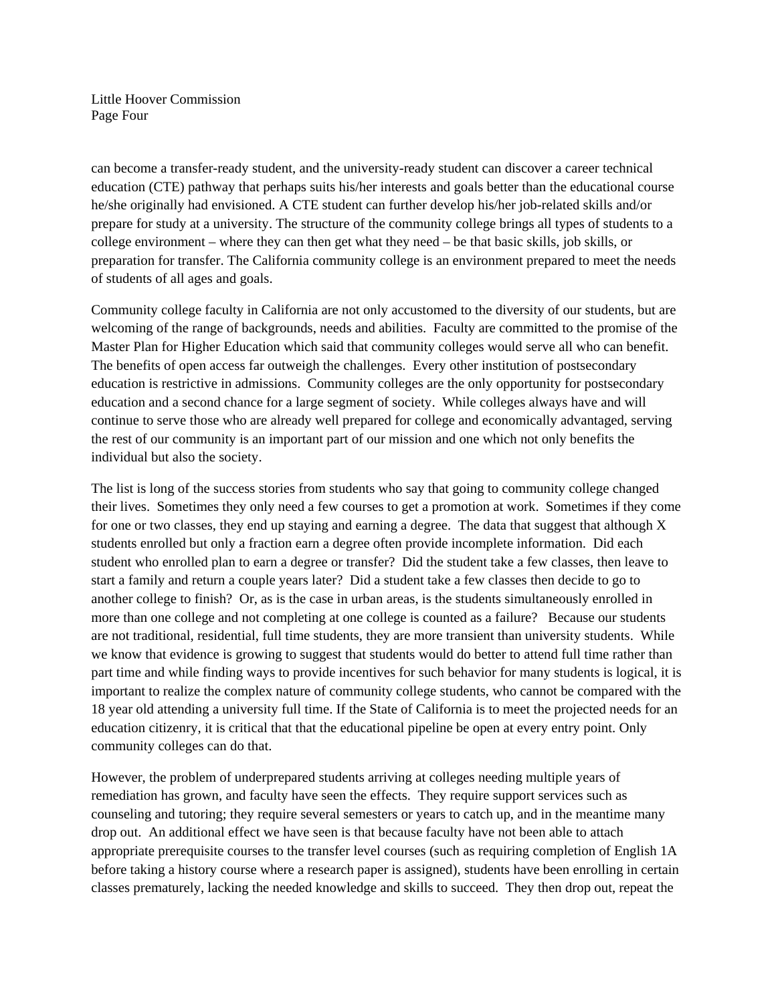Little Hoover Commission Page Four

can become a transfer-ready student, and the university-ready student can discover a career technical education (CTE) pathway that perhaps suits his/her interests and goals better than the educational course he/she originally had envisioned. A CTE student can further develop his/her job-related skills and/or prepare for study at a university. The structure of the community college brings all types of students to a college environment – where they can then get what they need – be that basic skills, job skills, or preparation for transfer. The California community college is an environment prepared to meet the needs of students of all ages and goals.

Community college faculty in California are not only accustomed to the diversity of our students, but are welcoming of the range of backgrounds, needs and abilities. Faculty are committed to the promise of the Master Plan for Higher Education which said that community colleges would serve all who can benefit. The benefits of open access far outweigh the challenges. Every other institution of postsecondary education is restrictive in admissions. Community colleges are the only opportunity for postsecondary education and a second chance for a large segment of society. While colleges always have and will continue to serve those who are already well prepared for college and economically advantaged, serving the rest of our community is an important part of our mission and one which not only benefits the individual but also the society.

The list is long of the success stories from students who say that going to community college changed their lives. Sometimes they only need a few courses to get a promotion at work. Sometimes if they come for one or two classes, they end up staying and earning a degree. The data that suggest that although  $X$ students enrolled but only a fraction earn a degree often provide incomplete information. Did each student who enrolled plan to earn a degree or transfer? Did the student take a few classes, then leave to start a family and return a couple years later? Did a student take a few classes then decide to go to another college to finish? Or, as is the case in urban areas, is the students simultaneously enrolled in more than one college and not completing at one college is counted as a failure? Because our students are not traditional, residential, full time students, they are more transient than university students. While we know that evidence is growing to suggest that students would do better to attend full time rather than part time and while finding ways to provide incentives for such behavior for many students is logical, it is important to realize the complex nature of community college students, who cannot be compared with the 18 year old attending a university full time. If the State of California is to meet the projected needs for an education citizenry, it is critical that that the educational pipeline be open at every entry point. Only community colleges can do that.

However, the problem of underprepared students arriving at colleges needing multiple years of remediation has grown, and faculty have seen the effects. They require support services such as counseling and tutoring; they require several semesters or years to catch up, and in the meantime many drop out. An additional effect we have seen is that because faculty have not been able to attach appropriate prerequisite courses to the transfer level courses (such as requiring completion of English 1A before taking a history course where a research paper is assigned), students have been enrolling in certain classes prematurely, lacking the needed knowledge and skills to succeed. They then drop out, repeat the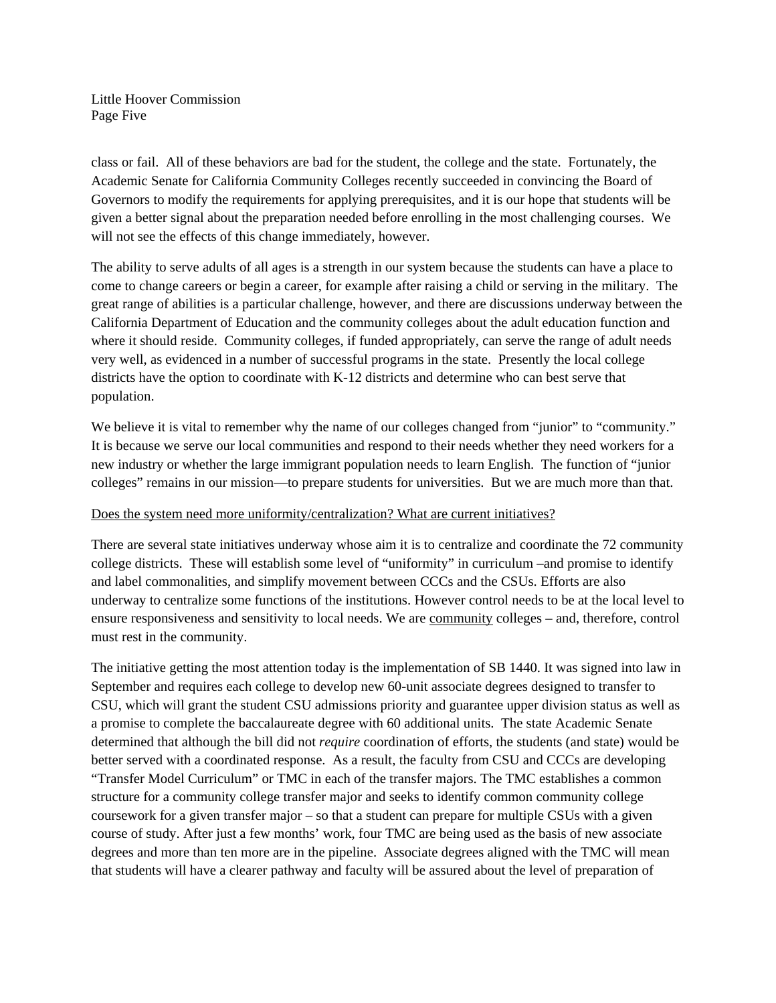Little Hoover Commission Page Five

class or fail. All of these behaviors are bad for the student, the college and the state. Fortunately, the Academic Senate for California Community Colleges recently succeeded in convincing the Board of Governors to modify the requirements for applying prerequisites, and it is our hope that students will be given a better signal about the preparation needed before enrolling in the most challenging courses. We will not see the effects of this change immediately, however.

The ability to serve adults of all ages is a strength in our system because the students can have a place to come to change careers or begin a career, for example after raising a child or serving in the military. The great range of abilities is a particular challenge, however, and there are discussions underway between the California Department of Education and the community colleges about the adult education function and where it should reside. Community colleges, if funded appropriately, can serve the range of adult needs very well, as evidenced in a number of successful programs in the state. Presently the local college districts have the option to coordinate with K-12 districts and determine who can best serve that population.

We believe it is vital to remember why the name of our colleges changed from "junior" to "community." It is because we serve our local communities and respond to their needs whether they need workers for a new industry or whether the large immigrant population needs to learn English. The function of "junior colleges" remains in our mission—to prepare students for universities. But we are much more than that.

### Does the system need more uniformity/centralization? What are current initiatives?

There are several state initiatives underway whose aim it is to centralize and coordinate the 72 community college districts. These will establish some level of "uniformity" in curriculum –and promise to identify and label commonalities, and simplify movement between CCCs and the CSUs. Efforts are also underway to centralize some functions of the institutions. However control needs to be at the local level to ensure responsiveness and sensitivity to local needs. We are community colleges – and, therefore, control must rest in the community.

The initiative getting the most attention today is the implementation of SB 1440. It was signed into law in September and requires each college to develop new 60-unit associate degrees designed to transfer to CSU, which will grant the student CSU admissions priority and guarantee upper division status as well as a promise to complete the baccalaureate degree with 60 additional units. The state Academic Senate determined that although the bill did not *require* coordination of efforts, the students (and state) would be better served with a coordinated response. As a result, the faculty from CSU and CCCs are developing "Transfer Model Curriculum" or TMC in each of the transfer majors. The TMC establishes a common structure for a community college transfer major and seeks to identify common community college coursework for a given transfer major – so that a student can prepare for multiple CSUs with a given course of study. After just a few months' work, four TMC are being used as the basis of new associate degrees and more than ten more are in the pipeline. Associate degrees aligned with the TMC will mean that students will have a clearer pathway and faculty will be assured about the level of preparation of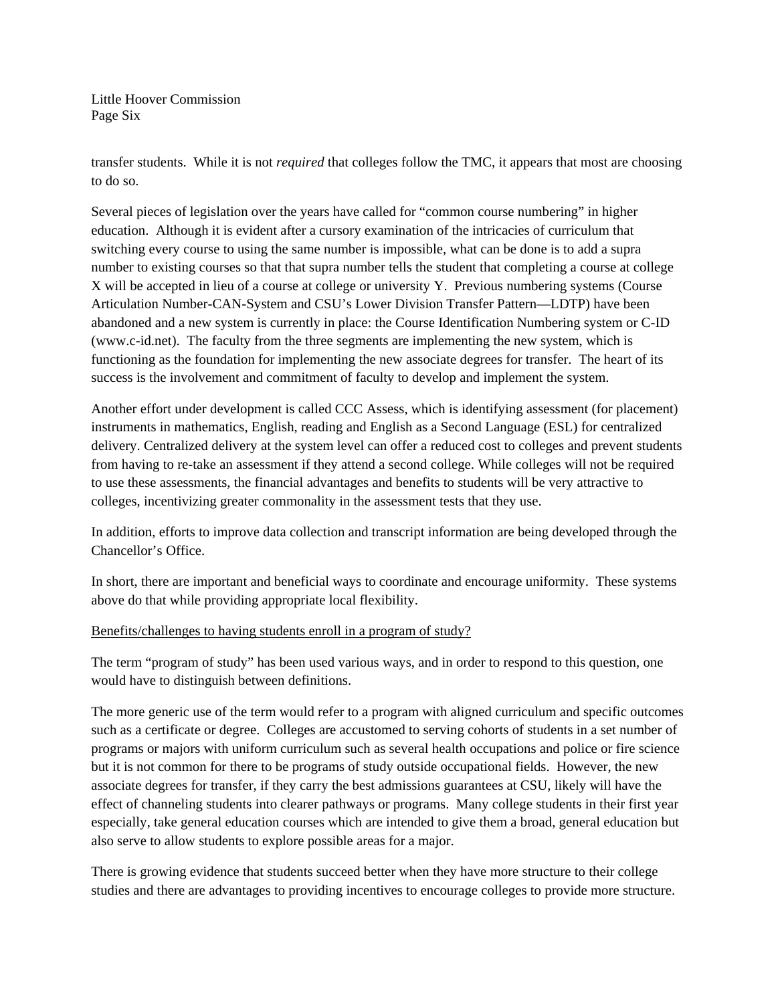Little Hoover Commission Page Six

transfer students. While it is not *required* that colleges follow the TMC, it appears that most are choosing to do so.

Several pieces of legislation over the years have called for "common course numbering" in higher education. Although it is evident after a cursory examination of the intricacies of curriculum that switching every course to using the same number is impossible, what can be done is to add a supra number to existing courses so that that supra number tells the student that completing a course at college X will be accepted in lieu of a course at college or university Y. Previous numbering systems (Course Articulation Number-CAN-System and CSU's Lower Division Transfer Pattern—LDTP) have been abandoned and a new system is currently in place: the Course Identification Numbering system or C-ID (www.c-id.net). The faculty from the three segments are implementing the new system, which is functioning as the foundation for implementing the new associate degrees for transfer. The heart of its success is the involvement and commitment of faculty to develop and implement the system.

Another effort under development is called CCC Assess, which is identifying assessment (for placement) instruments in mathematics, English, reading and English as a Second Language (ESL) for centralized delivery. Centralized delivery at the system level can offer a reduced cost to colleges and prevent students from having to re-take an assessment if they attend a second college. While colleges will not be required to use these assessments, the financial advantages and benefits to students will be very attractive to colleges, incentivizing greater commonality in the assessment tests that they use.

In addition, efforts to improve data collection and transcript information are being developed through the Chancellor's Office.

In short, there are important and beneficial ways to coordinate and encourage uniformity. These systems above do that while providing appropriate local flexibility.

#### Benefits/challenges to having students enroll in a program of study?

The term "program of study" has been used various ways, and in order to respond to this question, one would have to distinguish between definitions.

The more generic use of the term would refer to a program with aligned curriculum and specific outcomes such as a certificate or degree. Colleges are accustomed to serving cohorts of students in a set number of programs or majors with uniform curriculum such as several health occupations and police or fire science but it is not common for there to be programs of study outside occupational fields. However, the new associate degrees for transfer, if they carry the best admissions guarantees at CSU, likely will have the effect of channeling students into clearer pathways or programs. Many college students in their first year especially, take general education courses which are intended to give them a broad, general education but also serve to allow students to explore possible areas for a major.

There is growing evidence that students succeed better when they have more structure to their college studies and there are advantages to providing incentives to encourage colleges to provide more structure.